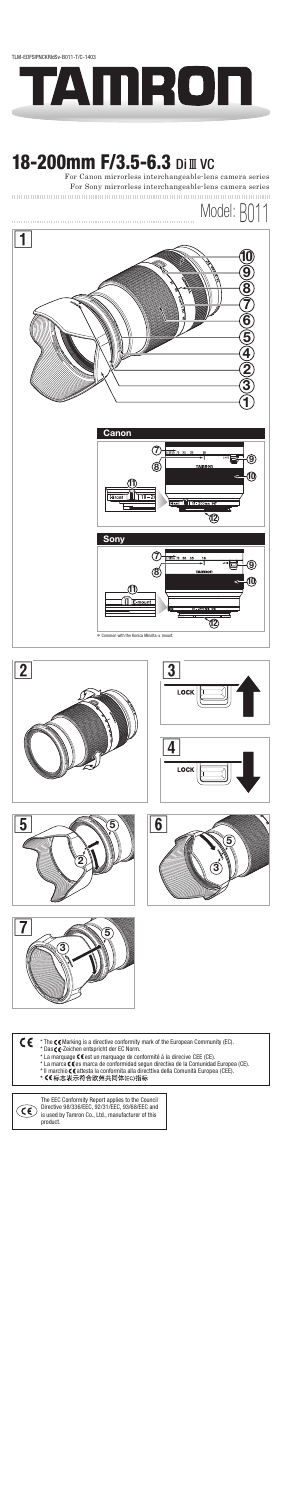







## CE

- 
- 
- \* The **C €** Marking is a directive conformity mark of the European Community (EC).<br>\* Das **C €**-Zeichen entspricht der EC Norm.<br>\* La marquage **C €** est un marquage de conformité à la direcive CEE (CE).<br>\* La marquage **C €** e
- 
- 



The EEC Conformity Report applies to the Council Directive 98/336/EEC, 92/31/EEC, 93/68/EEC and is used by Tamron Co., Ltd., manufacturer of this product.



# **18-200mm F/3.5-6.3 Di III VC**



For Canon mirrorless interchangeable-lens camera series For Sony mirrorless interchangeable-lens camera series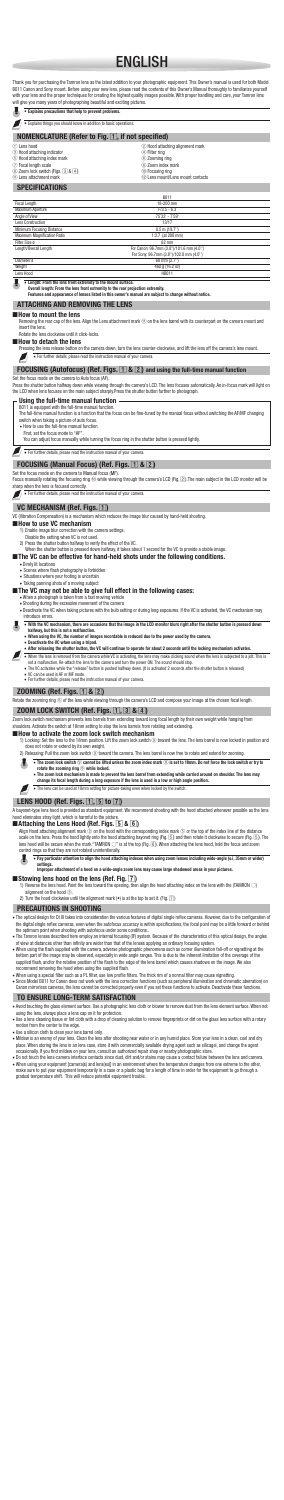## ENGLISH



The lens can be used at 18mm setting for picture-taking even when in a low or high a<br>The lens can be used at 18mm setting for picture-taking even when locked by the switch.

#### **LENS HOOD (Ref. Figs. 1, 5 to 7)**

A bayonet-type lens hood is provided as standard equipment. We recommend shooting with the hood attached whenever possible as the lens<br>hood eliminates stray light, which is harmful to the picture.

Align Hood attaching alignment mark ② on the hood with the corresponding index mark ⑤ or the top of the index line of the distance<br>scale on the lens. Press the hood lightly onto the hood attaching bayonet ring (Fig. ⑤), a control rings so that they are not rotated unintentionally.

- The optical design for Di III takes into consideration the various features of digital single reflex cameras. However, due to the configuration of the digital single reflex cameras, even when the autofocus accuracy is within specifications, the focal point may be a little forward or behind<br>the optimum point when shooting with autofocus under some conditions..
- The Tamron lenses described here employ an internal focusing (IF) system. Because of the characteristics of this optical design, the angles of view at distances other than infinity are wider than that of the lenses applyin
- of view at distances other than infinity are wider than that of the lenses applying an ordinary focusing system.<br>● When using the flash supplied with the camera, adverse photographic phenomena such as corner illumination bottom part of the image may be observed, especially in wide angle ranges. This is due to the inherent limitation of the coverage of the<br>supplied flash, and/or the relative position of the flash to the edge of the lens bar
- 
- When using a special filter such as a PL filter, use low profile filters. The thick rim of a normal filter may cause vignetting.<br>• Since Model B011 for Canon does not work with the lens correction functions (such as peri

- Avoid touching the glass element surface. Use a photographic lens cloth or blower to remove dust from the lens element surface. When not
- using the lens, always place a lens cap on it for protection. with a drop of cleaning solution to remove fingerprints or dirt on the glass lens surface with a rotary motion from the center to the edge.
- 
- ∙ Use a silicon cloth to clean your lens barrel only.<br>• Mildew is an enemy of your lens. Clean the lens after shooting near water or in any humid place. Store your lens in a clean, cool and dry<br>• place. When storing the l
- occasionally. If you find mildew on your lens, consult an authorized repair shop or nearby photographic store.<br>● Do not touch the lens-camera interface contacts since dust, dirt and/or stains may cause a contact failure b
- make sure to put your equipment temporarily in a case or a plastic bag for a length of time in order for the equipment to go through a<br>gradual temperature shift. This will reduce potential equipment trouble.

#### **Attaching the Lens Hood (Ref. Figs.** 5 **&** 6**)**



#### **Improper attachment of a hood on a wide-angle zoom lens may cause large shadowed areas in your pictures.**

#### ■ Stowing lens hood on the lens (Ref. Fig. 7)

1) Reverse the lens hood. Point the lens toward the opening, then align the hood attaching index on the lens with the (TAMRON ())<br>alignment on the hood (@).<br>2) Turn the hood clockwise until the alignment mark (•) is at the

## **PRECAUTIONS IN SHOOTING**

#### **TO ENSURE LONG-TERM SATISFACTION**